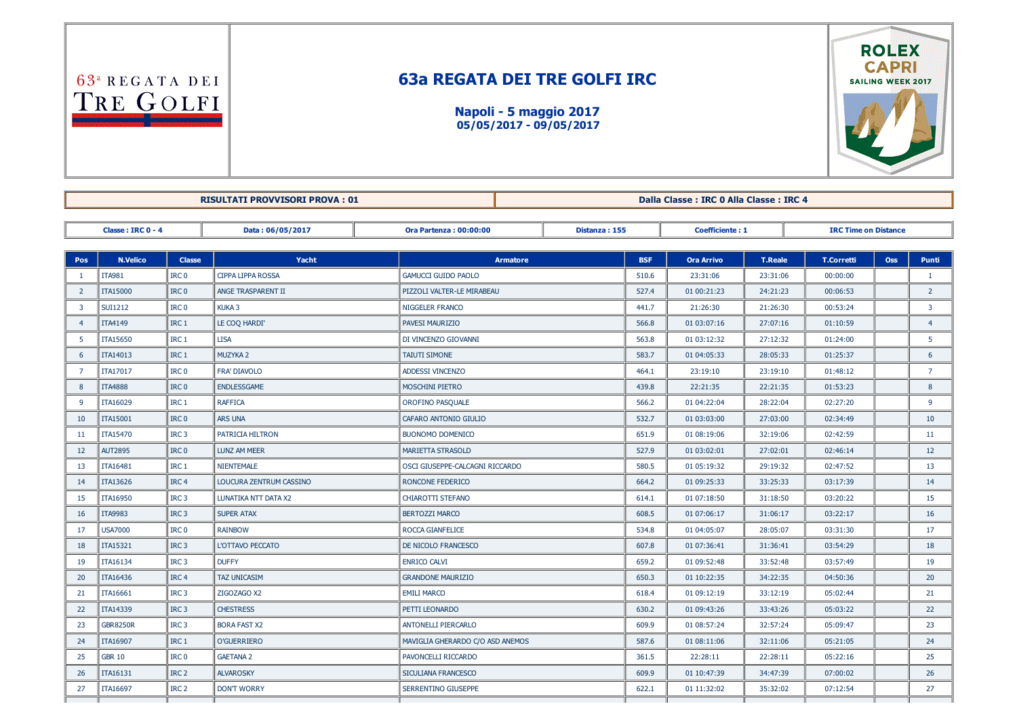63<sup>a</sup> REGATA DEI TRE GOLFI

## 63a REGATA DEI TRE GOLFI IRC

Napoli - 5 maggio 2017 05/05/2017 09/05/2017



RISULTATI PROVVISORI PROVA : 01 Dalla Classe : IRC 0 Alla Classe : IRC 4

Classe : IRC 0 4 Data : 06/05/2017 Ora Partenza : 00:00:00 Distanza : 155 Coefficiente : 1 IRC Time on Distance

| Pos            | <b>N.Velico</b> | <b>Classe</b>    | Yacht                    | <b>Armatore</b>                  | <b>BSF</b> | <b>Ora Arrivo</b> | <b>T.Reale</b> | <b>T.Corretti</b> | <b>Oss</b> | Punti           |
|----------------|-----------------|------------------|--------------------------|----------------------------------|------------|-------------------|----------------|-------------------|------------|-----------------|
| $\mathbf{1}$   | <b>ITA981</b>   | IRC <sub>0</sub> | <b>CIPPA LIPPA ROSSA</b> | <b>GAMUCCI GUIDO PAOLO</b>       | 510.6      | 23:31:06          | 23:31:06       | 00:00:00          |            | $\mathbf{1}$    |
| $\overline{2}$ | <b>ITA15000</b> | IRC <sub>0</sub> | ANGE TRASPARENT II       | PIZZOLI VALTER-LE MIRABEAU       | 527.4      | 01 00:21:23       | 24:21:23       | 00:06:53          |            | $2^{\circ}$     |
| 3              | <b>SUI1212</b>  | IRC <sub>0</sub> | <b>KUKA3</b>             | NIGGELER FRANCO                  | 441.7      | 21:26:30          | 21:26:30       | 00:53:24          |            | 3 <sup>7</sup>  |
| $\overline{4}$ | <b>ITA4149</b>  | IRC <sub>1</sub> | LE COQ HARDI'            | PAVESI MAURIZIO                  | 566.8      | 01 03:07:16       | 27:07:16       | 01:10:59          |            | $\overline{4}$  |
| 5              | <b>ITA15650</b> | IRC <sub>1</sub> | <b>LISA</b>              | DI VINCENZO GIOVANNI             | 563.8      | 01 03:12:32       | 27:12:32       | 01:24:00          |            | 5               |
| 6              | ITA14013        | IRC <sub>1</sub> | MUZYKA 2                 | <b>TAIUTI SIMONE</b>             | 583.7      | 01 04:05:33       | 28:05:33       | 01:25:37          |            | 6               |
| $\overline{7}$ | ITA17017        | IRC <sub>0</sub> | FRA' DIAVOLO             | <b>ADDESSI VINCENZO</b>          | 464.1      | 23:19:10          | 23:19:10       | 01:48:12          |            | $\overline{7}$  |
| 8              | <b>ITA4888</b>  | IRC <sub>0</sub> | <b>ENDLESSGAME</b>       | MOSCHINI PIETRO                  | 439.8      | 22:21:35          | 22:21:35       | 01:53:23          |            | 8               |
| 9              | ITA16029        | IRC <sub>1</sub> | <b>RAFFICA</b>           | OROFINO PASQUALE                 | 566.2      | 01 04:22:04       | 28:22:04       | 02:27:20          |            | 9               |
| 10             | ITA15001        | IRC <sub>0</sub> | <b>ARS UNA</b>           | CAFARO ANTONIO GIULIO            | 532.7      | 01 03:03:00       | 27:03:00       | 02:34:49          |            | 10 <sup>°</sup> |
| 11             | ITA15470        | IRC <sub>3</sub> | PATRICIA HILTRON         | BUONOMO DOMENICO                 | 651.9      | 01 08:19:06       | 32:19:06       | 02:42:59          |            | 11              |
| 12             | <b>AUT2895</b>  | IRC <sub>0</sub> | <b>LUNZ AM MEER</b>      | <b>MARIETTA STRASOLD</b>         | 527.9      | 01 03:02:01       | 27:02:01       | 02:46:14          |            | 12              |
| 13             | ITA16481        | IRC <sub>1</sub> | NIENTEMALE               | OSCI GIUSEPPE-CALCAGNI RICCARDO  | 580.5      | 01 05:19:32       | 29:19:32       | 02:47:52          |            | 13              |
| 14             | ITA13626        | IRC <sub>4</sub> | LOUCURA ZENTRUM CASSINO  | RONCONE FEDERICO                 | 664.2      | 01 09:25:33       | 33:25:33       | 03:17:39          |            | 14              |
| 15             | ITA16950        | IRC <sub>3</sub> | LUNATIKA NTT DATA X2     | CHIAROTTI STEFANO                | 614.1      | 01 07:18:50       | 31:18:50       | 03:20:22          |            | 15              |
| 16             | <b>ITA9983</b>  | IRC <sub>3</sub> | <b>SUPER ATAX</b>        | <b>BERTOZZI MARCO</b>            | 608.5      | 01 07:06:17       | 31:06:17       | 03:22:17          |            | 16              |
| 17             | <b>USA7000</b>  | IRC <sub>0</sub> | <b>RAINBOW</b>           | <b>ROCCA GIANFELICE</b>          | 534.8      | 01 04:05:07       | 28:05:07       | 03:31:30          |            | 17              |
| 18             | ITA15321        | IRC <sub>3</sub> | L'OTTAVO PECCATO         | DE NICOLO FRANCESCO              | 607.8      | 01 07:36:41       | 31:36:41       | 03:54:29          |            | 18              |
| 19             | ITA16134        | IRC <sub>3</sub> | <b>DUFFY</b>             | <b>ENRICO CALVI</b>              | 659.2      | 01 09:52:48       | 33:52:48       | 03:57:49          |            | 19              |
| 20             | ITA16436        | IRC <sub>4</sub> | <b>TAZ UNICASIM</b>      | <b>GRANDONE MAURIZIO</b>         | 650.3      | 01 10:22:35       | 34:22:35       | 04:50:36          |            | 20              |
| 21             | ITA16661        | IRC <sub>3</sub> | ZIGOZAGO X2              | <b>EMILI MARCO</b>               | 618.4      | 01 09:12:19       | 33:12:19       | 05:02:44          |            | 21              |
| 22             | ITA14339        | IRC <sub>3</sub> | <b>CHESTRESS</b>         | PETTI LEONARDO                   | 630.2      | 01 09:43:26       | 33:43:26       | 05:03:22          |            | 22              |
| 23             | <b>GBR8250R</b> | IRC <sub>3</sub> | <b>BORA FAST X2</b>      | <b>ANTONELLI PIERCARLO</b>       | 609.9      | 01 08:57:24       | 32:57:24       | 05:09:47          |            | 23              |
| 24             | ITA16907        | IRC <sub>1</sub> | <b>O'GUERRIERO</b>       | MAVIGLIA GHERARDO C/O ASD ANEMOS | 587.6      | 01 08:11:06       | 32:11:06       | 05:21:05          |            | 24              |
| 25             | <b>GBR 10</b>   | IRC <sub>0</sub> | <b>GAETANA 2</b>         | PAVONCELLI RICCARDO              | 361.5      | 22:28:11          | 22:28:11       | 05:22:16          |            | 25              |
| 26             | ITA16131        | IRC <sub>2</sub> | <b>ALVAROSKY</b>         | SICULIANA FRANCESCO              | 609.9      | 01 10:47:39       | 34:47:39       | 07:00:02          |            | 26              |
| 27             | ITA16697        | IRC <sub>2</sub> | <b>DON'T WORRY</b>       | SERRENTINO GIUSEPPE              | 622.1      | 01 11:32:02       | 35:32:02       | 07:12:54          |            | 27              |
|                |                 |                  |                          |                                  |            |                   |                |                   |            |                 |